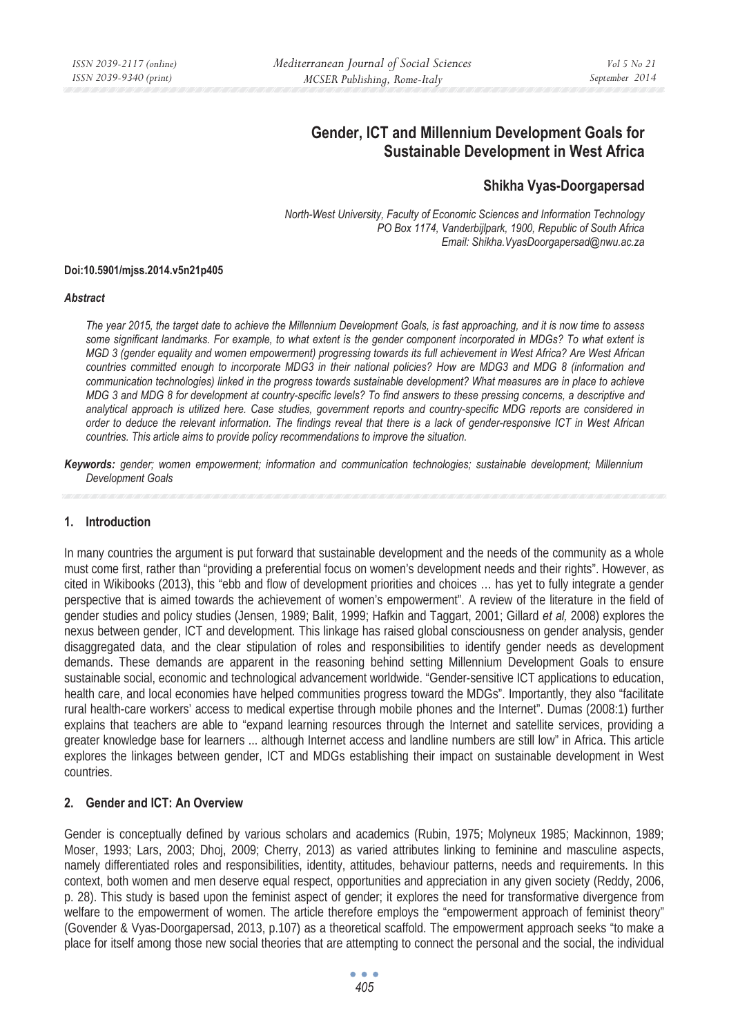# **Gender, ICT and Millennium Development Goals for Sustainable Development in West Africa**

## **Shikha Vyas-Doorgapersad**

*North-West University, Faculty of Economic Sciences and Information Technology PO Box 1174, Vanderbijlpark, 1900, Republic of South Africa Email: Shikha.VyasDoorgapersad@nwu.ac.za* 

#### **Doi:10.5901/mjss.2014.v5n21p405**

#### *Abstract*

*The year 2015, the target date to achieve the Millennium Development Goals, is fast approaching, and it is now time to assess some significant landmarks. For example, to what extent is the gender component incorporated in MDGs? To what extent is MGD 3 (gender equality and women empowerment) progressing towards its full achievement in West Africa? Are West African countries committed enough to incorporate MDG3 in their national policies? How are MDG3 and MDG 8 (information and communication technologies) linked in the progress towards sustainable development? What measures are in place to achieve MDG 3 and MDG 8 for development at country-specific levels? To find answers to these pressing concerns, a descriptive and analytical approach is utilized here. Case studies, government reports and country-specific MDG reports are considered in order to deduce the relevant information. The findings reveal that there is a lack of gender-responsive ICT in West African countries. This article aims to provide policy recommendations to improve the situation.* 

*Keywords: gender; women empowerment; information and communication technologies; sustainable development; Millennium Development Goals* 

### **1. Introduction**

In many countries the argument is put forward that sustainable development and the needs of the community as a whole must come first, rather than "providing a preferential focus on women's development needs and their rights". However, as cited in Wikibooks (2013), this "ebb and flow of development priorities and choices … has yet to fully integrate a gender perspective that is aimed towards the achievement of women's empowerment". A review of the literature in the field of gender studies and policy studies (Jensen, 1989; Balit, 1999; Hafkin and Taggart, 2001; Gillard *et al,* 2008) explores the nexus between gender, ICT and development. This linkage has raised global consciousness on gender analysis, gender disaggregated data, and the clear stipulation of roles and responsibilities to identify gender needs as development demands. These demands are apparent in the reasoning behind setting Millennium Development Goals to ensure sustainable social, economic and technological advancement worldwide. "Gender-sensitive ICT applications to education, health care, and local economies have helped communities progress toward the MDGs". Importantly, they also "facilitate rural health-care workers' access to medical expertise through mobile phones and the Internet". Dumas (2008:1) further explains that teachers are able to "expand learning resources through the Internet and satellite services, providing a greater knowledge base for learners ... although Internet access and landline numbers are still low" in Africa. This article explores the linkages between gender, ICT and MDGs establishing their impact on sustainable development in West countries.

### **2. Gender and ICT: An Overview**

Gender is conceptually defined by various scholars and academics (Rubin, 1975; Molyneux 1985; Mackinnon, 1989; Moser, 1993; Lars, 2003; Dhoj, 2009; Cherry, 2013) as varied attributes linking to feminine and masculine aspects, namely differentiated roles and responsibilities, identity, attitudes, behaviour patterns, needs and requirements. In this context, both women and men deserve equal respect, opportunities and appreciation in any given society (Reddy, 2006, p. 28). This study is based upon the feminist aspect of gender; it explores the need for transformative divergence from welfare to the empowerment of women. The article therefore employs the "empowerment approach of feminist theory" (Govender & Vyas-Doorgapersad, 2013, p.107) as a theoretical scaffold. The empowerment approach seeks "to make a place for itself among those new social theories that are attempting to connect the personal and the social, the individual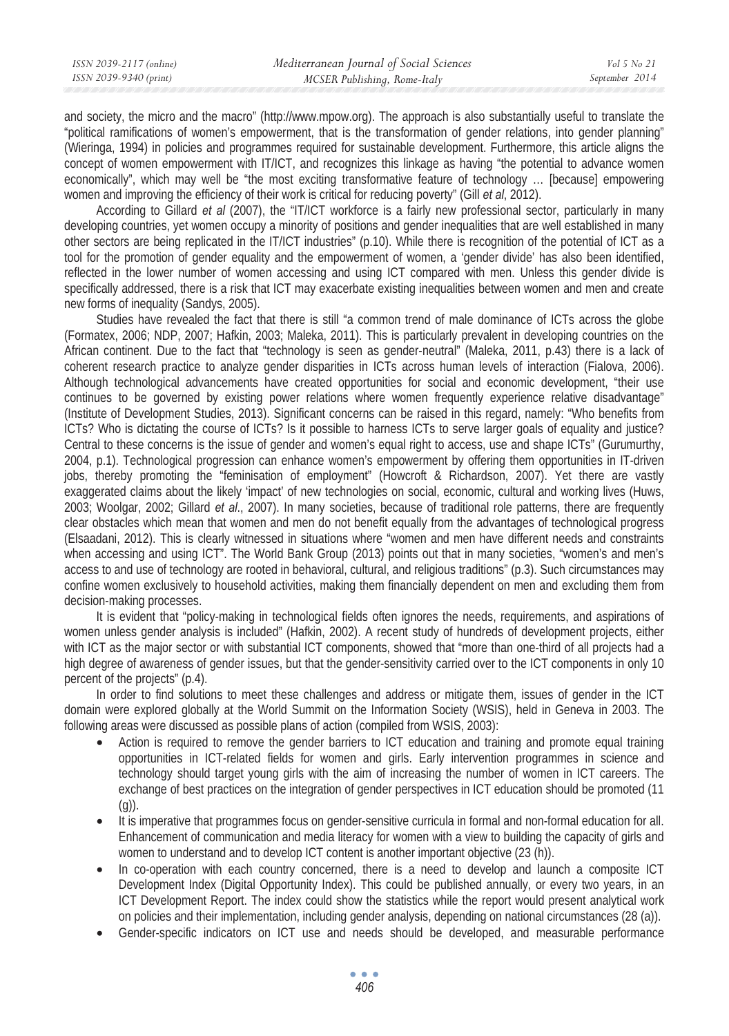| ISSN 2039-2117 (online) | Mediterranean Journal of Social Sciences | Vol 5 No 21    |
|-------------------------|------------------------------------------|----------------|
| ISSN 2039-9340 (print)  | MCSER Publishing, Rome-Italy             | September 2014 |
|                         |                                          |                |

and society, the micro and the macro" (http://www.mpow.org). The approach is also substantially useful to translate the "political ramifications of women's empowerment, that is the transformation of gender relations, into gender planning" (Wieringa, 1994) in policies and programmes required for sustainable development. Furthermore, this article aligns the concept of women empowerment with IT/ICT, and recognizes this linkage as having "the potential to advance women economically", which may well be "the most exciting transformative feature of technology … [because] empowering women and improving the efficiency of their work is critical for reducing poverty" (Gill *et al*, 2012).

According to Gillard *et al* (2007), the "IT/ICT workforce is a fairly new professional sector, particularly in many developing countries, yet women occupy a minority of positions and gender inequalities that are well established in many other sectors are being replicated in the IT/ICT industries" (p.10). While there is recognition of the potential of ICT as a tool for the promotion of gender equality and the empowerment of women, a 'gender divide' has also been identified, reflected in the lower number of women accessing and using ICT compared with men. Unless this gender divide is specifically addressed, there is a risk that ICT may exacerbate existing inequalities between women and men and create new forms of inequality (Sandys, 2005).

Studies have revealed the fact that there is still "a common trend of male dominance of ICTs across the globe (Formatex, 2006; NDP, 2007; Hafkin, 2003; Maleka, 2011). This is particularly prevalent in developing countries on the African continent. Due to the fact that "technology is seen as gender-neutral" (Maleka, 2011, p.43) there is a lack of coherent research practice to analyze gender disparities in ICTs across human levels of interaction (Fialova, 2006). Although technological advancements have created opportunities for social and economic development, "their use continues to be governed by existing power relations where women frequently experience relative disadvantage" (Institute of Development Studies, 2013). Significant concerns can be raised in this regard, namely: "Who benefits from ICTs? Who is dictating the course of ICTs? Is it possible to harness ICTs to serve larger goals of equality and justice? Central to these concerns is the issue of gender and women's equal right to access, use and shape ICTs" (Gurumurthy, 2004, p.1). Technological progression can enhance women's empowerment by offering them opportunities in IT-driven jobs, thereby promoting the "feminisation of employment" (Howcroft & Richardson, 2007). Yet there are vastly exaggerated claims about the likely 'impact' of new technologies on social, economic, cultural and working lives (Huws, 2003; Woolgar, 2002; Gillard *et al*., 2007). In many societies, because of traditional role patterns, there are frequently clear obstacles which mean that women and men do not benefit equally from the advantages of technological progress (Elsaadani, 2012). This is clearly witnessed in situations where "women and men have different needs and constraints when accessing and using ICT". The World Bank Group (2013) points out that in many societies, "women's and men's access to and use of technology are rooted in behavioral, cultural, and religious traditions" (p.3). Such circumstances may confine women exclusively to household activities, making them financially dependent on men and excluding them from decision-making processes.

It is evident that "policy-making in technological fields often ignores the needs, requirements, and aspirations of women unless gender analysis is included" (Hafkin, 2002). A recent study of hundreds of development projects, either with ICT as the major sector or with substantial ICT components, showed that "more than one-third of all projects had a high degree of awareness of gender issues, but that the gender-sensitivity carried over to the ICT components in only 10 percent of the projects" (p.4).

In order to find solutions to meet these challenges and address or mitigate them, issues of gender in the ICT domain were explored globally at the World Summit on the Information Society (WSIS), held in Geneva in 2003. The following areas were discussed as possible plans of action (compiled from WSIS, 2003):

- Action is required to remove the gender barriers to ICT education and training and promote equal training opportunities in ICT-related fields for women and girls. Early intervention programmes in science and technology should target young girls with the aim of increasing the number of women in ICT careers. The exchange of best practices on the integration of gender perspectives in ICT education should be promoted (11  $(q)$ ).
- It is imperative that programmes focus on gender-sensitive curricula in formal and non-formal education for all. Enhancement of communication and media literacy for women with a view to building the capacity of girls and women to understand and to develop ICT content is another important objective (23 (h)).
- In co-operation with each country concerned, there is a need to develop and launch a composite ICT Development Index (Digital Opportunity Index). This could be published annually, or every two years, in an ICT Development Report. The index could show the statistics while the report would present analytical work on policies and their implementation, including gender analysis, depending on national circumstances (28 (a)).
- Gender-specific indicators on ICT use and needs should be developed, and measurable performance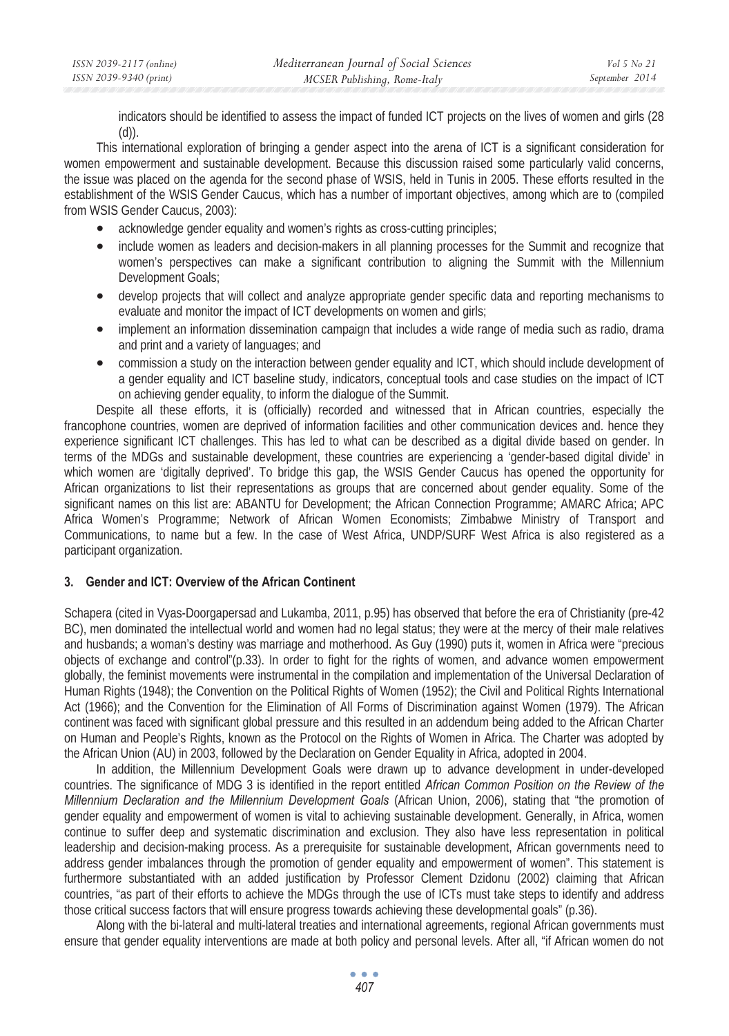| ISSN 2039-2117 (online) | Mediterranean Journal of Social Sciences | Vol 5 No 21    |
|-------------------------|------------------------------------------|----------------|
| ISSN 2039-9340 (print)  | MCSER Publishing, Rome-Italy             | September 2014 |

indicators should be identified to assess the impact of funded ICT projects on the lives of women and girls (28  $(d)$ ).

This international exploration of bringing a gender aspect into the arena of ICT is a significant consideration for women empowerment and sustainable development. Because this discussion raised some particularly valid concerns, the issue was placed on the agenda for the second phase of WSIS, held in Tunis in 2005. These efforts resulted in the establishment of the WSIS Gender Caucus, which has a number of important objectives, among which are to (compiled from WSIS Gender Caucus, 2003):

- acknowledge gender equality and women's rights as cross-cutting principles;
- include women as leaders and decision-makers in all planning processes for the Summit and recognize that women's perspectives can make a significant contribution to aligning the Summit with the Millennium Development Goals;
- develop projects that will collect and analyze appropriate gender specific data and reporting mechanisms to evaluate and monitor the impact of ICT developments on women and girls;
- implement an information dissemination campaign that includes a wide range of media such as radio, drama and print and a variety of languages; and
- commission a study on the interaction between gender equality and ICT, which should include development of a gender equality and ICT baseline study, indicators, conceptual tools and case studies on the impact of ICT on achieving gender equality, to inform the dialogue of the Summit.

Despite all these efforts, it is (officially) recorded and witnessed that in African countries, especially the francophone countries, women are deprived of information facilities and other communication devices and. hence they experience significant ICT challenges. This has led to what can be described as a digital divide based on gender. In terms of the MDGs and sustainable development, these countries are experiencing a 'gender-based digital divide' in which women are 'digitally deprived'. To bridge this gap, the WSIS Gender Caucus has opened the opportunity for African organizations to list their representations as groups that are concerned about gender equality. Some of the significant names on this list are: ABANTU for Development; the African Connection Programme; AMARC Africa; APC Africa Women's Programme; Network of African Women Economists; Zimbabwe Ministry of Transport and Communications, to name but a few. In the case of West Africa, UNDP/SURF West Africa is also registered as a participant organization.

### **3. Gender and ICT: Overview of the African Continent**

Schapera (cited in Vyas-Doorgapersad and Lukamba, 2011, p.95) has observed that before the era of Christianity (pre-42 BC), men dominated the intellectual world and women had no legal status; they were at the mercy of their male relatives and husbands; a woman's destiny was marriage and motherhood. As Guy (1990) puts it, women in Africa were "precious objects of exchange and control"(p.33). In order to fight for the rights of women, and advance women empowerment globally, the feminist movements were instrumental in the compilation and implementation of the Universal Declaration of Human Rights (1948); the Convention on the Political Rights of Women (1952); the Civil and Political Rights International Act (1966); and the Convention for the Elimination of All Forms of Discrimination against Women (1979). The African continent was faced with significant global pressure and this resulted in an addendum being added to the African Charter on Human and People's Rights, known as the Protocol on the Rights of Women in Africa. The Charter was adopted by the African Union (AU) in 2003, followed by the Declaration on Gender Equality in Africa, adopted in 2004.

In addition, the Millennium Development Goals were drawn up to advance development in under-developed countries. The significance of MDG 3 is identified in the report entitled *African Common Position on the Review of the Millennium Declaration and the Millennium Development Goals* (African Union, 2006), stating that "the promotion of gender equality and empowerment of women is vital to achieving sustainable development. Generally, in Africa, women continue to suffer deep and systematic discrimination and exclusion. They also have less representation in political leadership and decision-making process. As a prerequisite for sustainable development, African governments need to address gender imbalances through the promotion of gender equality and empowerment of women". This statement is furthermore substantiated with an added justification by Professor Clement Dzidonu (2002) claiming that African countries, "as part of their efforts to achieve the MDGs through the use of ICTs must take steps to identify and address those critical success factors that will ensure progress towards achieving these developmental goals" (p.36).

Along with the bi-lateral and multi-lateral treaties and international agreements, regional African governments must ensure that gender equality interventions are made at both policy and personal levels. After all, "if African women do not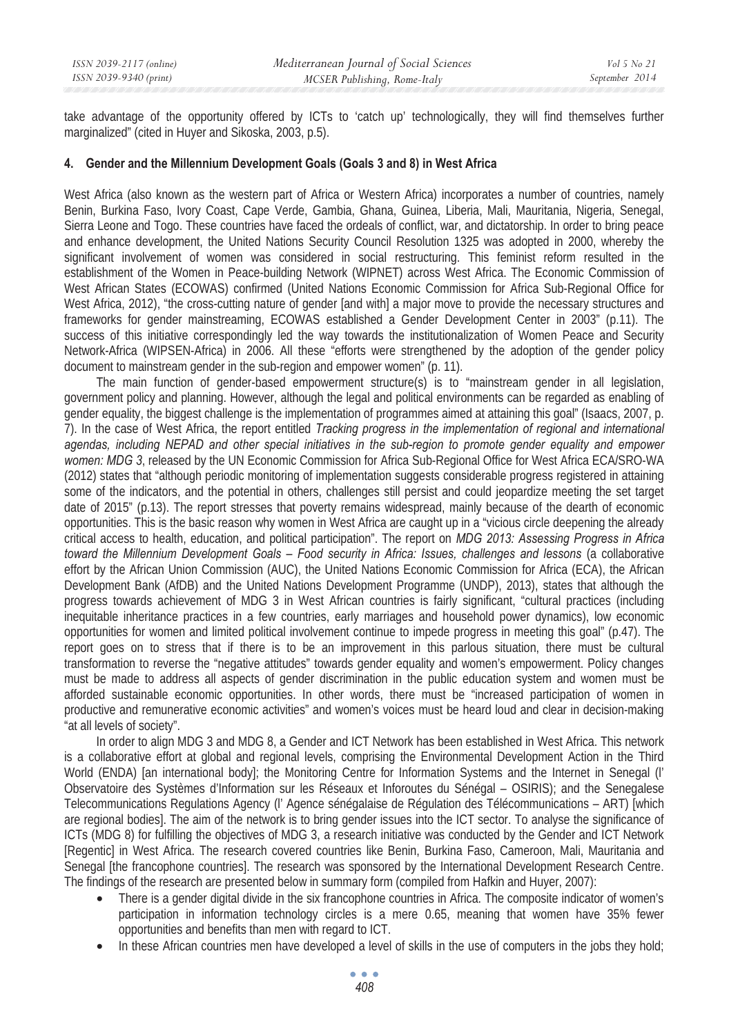take advantage of the opportunity offered by ICTs to 'catch up' technologically, they will find themselves further marginalized" (cited in Huyer and Sikoska, 2003, p.5).

#### **4. Gender and the Millennium Development Goals (Goals 3 and 8) in West Africa**

West Africa (also known as the western part of Africa or Western Africa) incorporates a number of countries, namely Benin, Burkina Faso, Ivory Coast, Cape Verde, Gambia, Ghana, Guinea, Liberia, Mali, Mauritania, Nigeria, Senegal, Sierra Leone and Togo. These countries have faced the ordeals of conflict, war, and dictatorship. In order to bring peace and enhance development, the United Nations Security Council Resolution 1325 was adopted in 2000, whereby the significant involvement of women was considered in social restructuring. This feminist reform resulted in the establishment of the Women in Peace-building Network (WIPNET) across West Africa. The Economic Commission of West African States (ECOWAS) confirmed (United Nations Economic Commission for Africa Sub-Regional Office for West Africa, 2012), "the cross-cutting nature of gender [and with] a major move to provide the necessary structures and frameworks for gender mainstreaming, ECOWAS established a Gender Development Center in 2003" (p.11). The success of this initiative correspondingly led the way towards the institutionalization of Women Peace and Security Network-Africa (WIPSEN-Africa) in 2006. All these "efforts were strengthened by the adoption of the gender policy document to mainstream gender in the sub-region and empower women" (p. 11).

The main function of gender-based empowerment structure(s) is to "mainstream gender in all legislation, government policy and planning. However, although the legal and political environments can be regarded as enabling of gender equality, the biggest challenge is the implementation of programmes aimed at attaining this goal" (Isaacs, 2007, p. 7). In the case of West Africa, the report entitled *Tracking progress in the implementation of regional and international agendas, including NEPAD and other special initiatives in the sub-region to promote gender equality and empower women: MDG 3*, released by the UN Economic Commission for Africa Sub-Regional Office for West Africa ECA/SRO-WA (2012) states that "although periodic monitoring of implementation suggests considerable progress registered in attaining some of the indicators, and the potential in others, challenges still persist and could jeopardize meeting the set target date of 2015" (p.13). The report stresses that poverty remains widespread, mainly because of the dearth of economic opportunities. This is the basic reason why women in West Africa are caught up in a "vicious circle deepening the already critical access to health, education, and political participation". The report on *MDG 2013: Assessing Progress in Africa toward the Millennium Development Goals – Food security in Africa: Issues, challenges and lessons* (a collaborative effort by the African Union Commission (AUC), the United Nations Economic Commission for Africa (ECA), the African Development Bank (AfDB) and the United Nations Development Programme (UNDP), 2013), states that although the progress towards achievement of MDG 3 in West African countries is fairly significant, "cultural practices (including inequitable inheritance practices in a few countries, early marriages and household power dynamics), low economic opportunities for women and limited political involvement continue to impede progress in meeting this goal" (p.47). The report goes on to stress that if there is to be an improvement in this parlous situation, there must be cultural transformation to reverse the "negative attitudes" towards gender equality and women's empowerment. Policy changes must be made to address all aspects of gender discrimination in the public education system and women must be afforded sustainable economic opportunities. In other words, there must be "increased participation of women in productive and remunerative economic activities" and women's voices must be heard loud and clear in decision-making "at all levels of society".

In order to align MDG 3 and MDG 8, a Gender and ICT Network has been established in West Africa. This network is a collaborative effort at global and regional levels, comprising the Environmental Development Action in the Third World (ENDA) [an international body]; the Monitoring Centre for Information Systems and the Internet in Senegal (l' Observatoire des Systèmes d'Information sur les Réseaux et Inforoutes du Sénégal – OSIRIS); and the Senegalese Telecommunications Regulations Agency (l' Agence sénégalaise de Régulation des Télécommunications – ART) [which are regional bodies]. The aim of the network is to bring gender issues into the ICT sector. To analyse the significance of ICTs (MDG 8) for fulfilling the objectives of MDG 3, a research initiative was conducted by the Gender and ICT Network [Regentic] in West Africa. The research covered countries like Benin, Burkina Faso, Cameroon, Mali, Mauritania and Senegal [the francophone countries]. The research was sponsored by the International Development Research Centre. The findings of the research are presented below in summary form (compiled from Hafkin and Huyer, 2007):

- There is a gender digital divide in the six francophone countries in Africa. The composite indicator of women's participation in information technology circles is a mere 0.65, meaning that women have 35% fewer opportunities and benefits than men with regard to ICT.
- In these African countries men have developed a level of skills in the use of computers in the jobs they hold;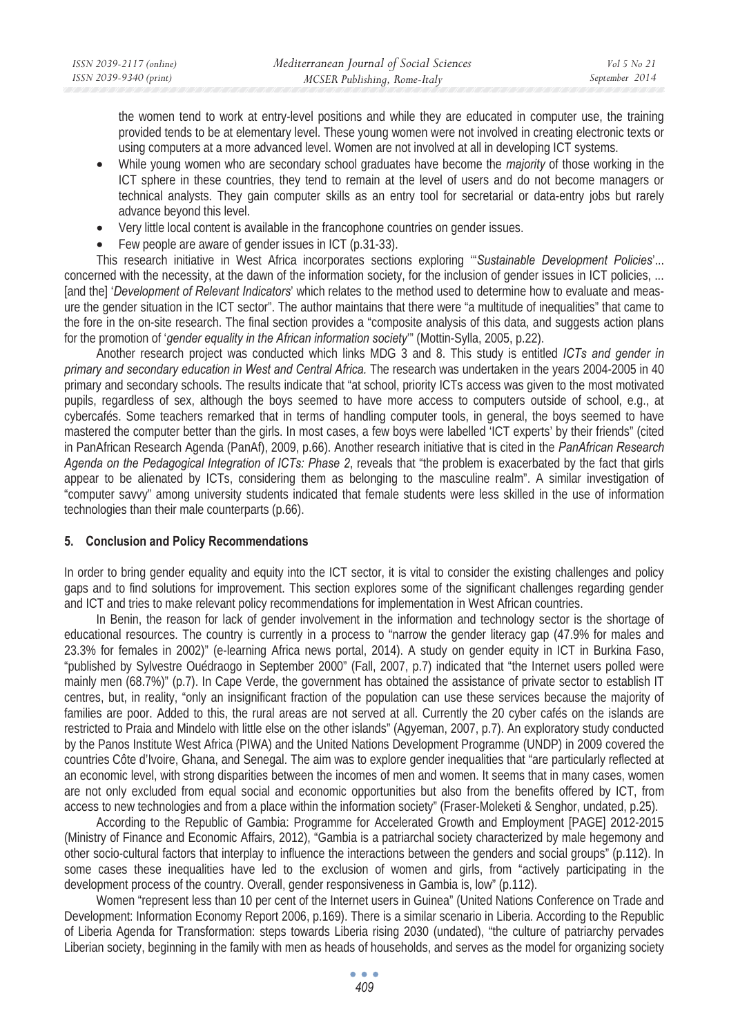the women tend to work at entry-level positions and while they are educated in computer use, the training provided tends to be at elementary level. These young women were not involved in creating electronic texts or using computers at a more advanced level. Women are not involved at all in developing ICT systems.

- While young women who are secondary school graduates have become the *majority* of those working in the ICT sphere in these countries, they tend to remain at the level of users and do not become managers or technical analysts. They gain computer skills as an entry tool for secretarial or data-entry jobs but rarely advance beyond this level.
- Very little local content is available in the francophone countries on gender issues.
- Few people are aware of gender issues in ICT (p.31-33).

This research initiative in West Africa incorporates sections exploring '"*Sustainable Development Policies*'... concerned with the necessity, at the dawn of the information society, for the inclusion of gender issues in ICT policies, ... [and the] '*Development of Relevant Indicators*' which relates to the method used to determine how to evaluate and measure the gender situation in the ICT sector". The author maintains that there were "a multitude of inequalities" that came to the fore in the on-site research. The final section provides a "composite analysis of this data, and suggests action plans for the promotion of '*gender equality in the African information society*'" (Mottin-Sylla, 2005, p.22).

Another research project was conducted which links MDG 3 and 8. This study is entitled *ICTs and gender in primary and secondary education in West and Central Africa.* The research was undertaken in the years 2004-2005 in 40 primary and secondary schools. The results indicate that "at school, priority ICTs access was given to the most motivated pupils, regardless of sex, although the boys seemed to have more access to computers outside of school, e.g., at cybercafés. Some teachers remarked that in terms of handling computer tools, in general, the boys seemed to have mastered the computer better than the girls. In most cases, a few boys were labelled 'ICT experts' by their friends" (cited in PanAfrican Research Agenda (PanAf), 2009, p.66). Another research initiative that is cited in the *PanAfrican Research Agenda on the Pedagogical Integration of ICTs: Phase 2*, reveals that "the problem is exacerbated by the fact that girls appear to be alienated by ICTs, considering them as belonging to the masculine realm". A similar investigation of "computer savvy" among university students indicated that female students were less skilled in the use of information technologies than their male counterparts (p.66).

### **5. Conclusion and Policy Recommendations**

In order to bring gender equality and equity into the ICT sector, it is vital to consider the existing challenges and policy gaps and to find solutions for improvement. This section explores some of the significant challenges regarding gender and ICT and tries to make relevant policy recommendations for implementation in West African countries.

In Benin, the reason for lack of gender involvement in the information and technology sector is the shortage of educational resources. The country is currently in a process to "narrow the gender literacy gap (47.9% for males and 23.3% for females in 2002)" (e-learning Africa news portal, 2014). A study on gender equity in ICT in Burkina Faso, "published by Sylvestre Ouédraogo in September 2000" (Fall, 2007, p.7) indicated that "the Internet users polled were mainly men (68.7%)" (p.7). In Cape Verde, the government has obtained the assistance of private sector to establish IT centres, but, in reality, "only an insignificant fraction of the population can use these services because the majority of families are poor. Added to this, the rural areas are not served at all. Currently the 20 cyber cafés on the islands are restricted to Praia and Mindelo with little else on the other islands" (Agyeman, 2007, p.7). An exploratory study conducted by the Panos Institute West Africa (PIWA) and the United Nations Development Programme (UNDP) in 2009 covered the countries Côte d'Ivoire, Ghana, and Senegal*.* The aim was to explore gender inequalities that "are particularly reflected at an economic level, with strong disparities between the incomes of men and women. It seems that in many cases, women are not only excluded from equal social and economic opportunities but also from the benefits offered by ICT, from access to new technologies and from a place within the information society" (Fraser-Moleketi & Senghor, undated, p.25).

According to the Republic of Gambia: Programme for Accelerated Growth and Employment [PAGE] 2012-2015 (Ministry of Finance and Economic Affairs, 2012), "Gambia is a patriarchal society characterized by male hegemony and other socio-cultural factors that interplay to influence the interactions between the genders and social groups" (p.112). In some cases these inequalities have led to the exclusion of women and girls, from "actively participating in the development process of the country. Overall, gender responsiveness in Gambia is, low" (p.112).

Women "represent less than 10 per cent of the Internet users in Guinea" (United Nations Conference on Trade and Development: Information Economy Report 2006, p.169). There is a similar scenario in Liberia. According to the Republic of Liberia Agenda for Transformation: steps towards Liberia rising 2030 (undated), "the culture of patriarchy pervades Liberian society, beginning in the family with men as heads of households, and serves as the model for organizing society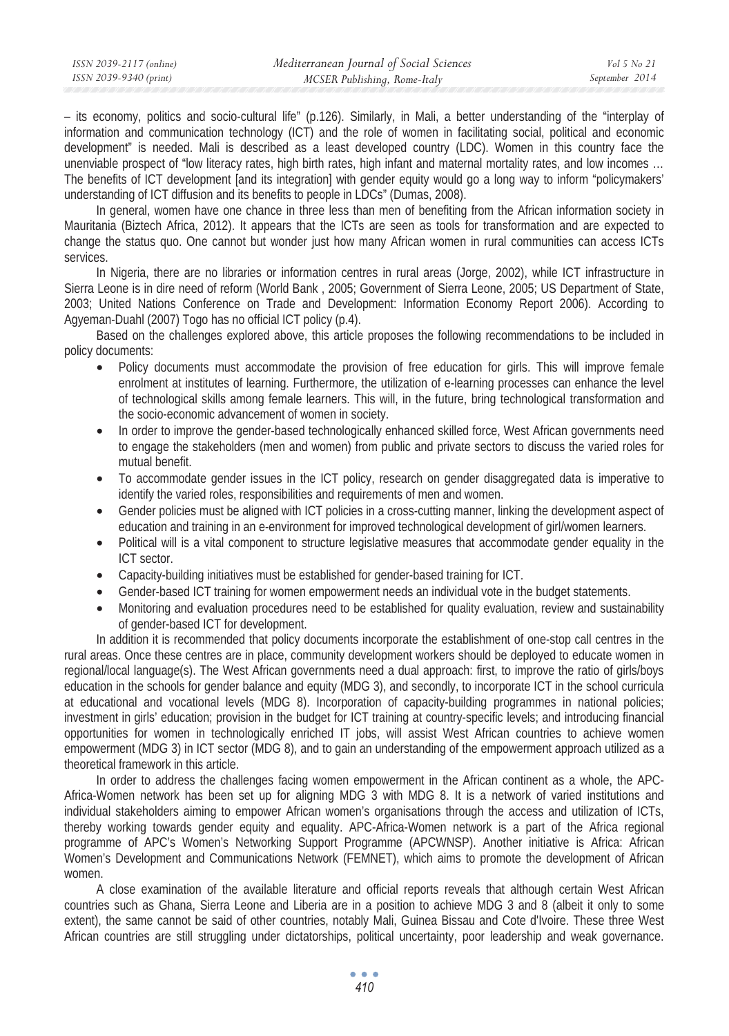| ISSN 2039-2117 (online) | Mediterranean Journal of Social Sciences | Vol 5 No 21    |
|-------------------------|------------------------------------------|----------------|
| ISSN 2039-9340 (print)  | MCSER Publishing, Rome-Italy             | September 2014 |
|                         |                                          |                |

– its economy, politics and socio-cultural life" (p.126). Similarly, in Mali, a better understanding of the "interplay of information and communication technology (ICT) and the role of women in facilitating social, political and economic development" is needed. Mali is described as a least developed country (LDC). Women in this country face the unenviable prospect of "low literacy rates, high birth rates, high infant and maternal mortality rates, and low incomes … The benefits of ICT development [and its integration] with gender equity would go a long way to inform "policymakers' understanding of ICT diffusion and its benefits to people in LDCs" (Dumas, 2008).

In general, women have one chance in three less than men of benefiting from the African information society in Mauritania (Biztech Africa, 2012). It appears that the ICTs are seen as tools for transformation and are expected to change the status quo. One cannot but wonder just how many African women in rural communities can access ICTs services.

In Nigeria, there are no libraries or information centres in rural areas (Jorge, 2002), while ICT infrastructure in Sierra Leone is in dire need of reform (World Bank , 2005; Government of Sierra Leone, 2005; US Department of State, 2003; United Nations Conference on Trade and Development: Information Economy Report 2006). According to Agyeman-Duahl (2007) Togo has no official ICT policy (p.4).

Based on the challenges explored above, this article proposes the following recommendations to be included in policy documents:

- Policy documents must accommodate the provision of free education for girls. This will improve female enrolment at institutes of learning. Furthermore, the utilization of e-learning processes can enhance the level of technological skills among female learners. This will, in the future, bring technological transformation and the socio-economic advancement of women in society.
- In order to improve the gender-based technologically enhanced skilled force, West African governments need to engage the stakeholders (men and women) from public and private sectors to discuss the varied roles for mutual benefit.
- To accommodate gender issues in the ICT policy, research on gender disaggregated data is imperative to identify the varied roles, responsibilities and requirements of men and women.
- Gender policies must be aligned with ICT policies in a cross-cutting manner, linking the development aspect of education and training in an e-environment for improved technological development of girl/women learners.
- Political will is a vital component to structure legislative measures that accommodate gender equality in the ICT sector.
- Capacity-building initiatives must be established for gender-based training for ICT.
- Gender-based ICT training for women empowerment needs an individual vote in the budget statements.
- Monitoring and evaluation procedures need to be established for quality evaluation, review and sustainability of gender-based ICT for development.

In addition it is recommended that policy documents incorporate the establishment of one-stop call centres in the rural areas. Once these centres are in place, community development workers should be deployed to educate women in regional/local language(s). The West African governments need a dual approach: first, to improve the ratio of girls/boys education in the schools for gender balance and equity (MDG 3), and secondly, to incorporate ICT in the school curricula at educational and vocational levels (MDG 8). Incorporation of capacity-building programmes in national policies; investment in girls' education; provision in the budget for ICT training at country-specific levels; and introducing financial opportunities for women in technologically enriched IT jobs, will assist West African countries to achieve women empowerment (MDG 3) in ICT sector (MDG 8), and to gain an understanding of the empowerment approach utilized as a theoretical framework in this article.

In order to address the challenges facing women empowerment in the African continent as a whole, the APC-Africa-Women network has been set up for aligning MDG 3 with MDG 8. It is a network of varied institutions and individual stakeholders aiming to empower African women's organisations through the access and utilization of ICTs, thereby working towards gender equity and equality. APC-Africa-Women network is a part of the Africa regional programme of APC's Women's Networking Support Programme (APCWNSP). Another initiative is Africa: African Women's Development and Communications Network (FEMNET), which aims to promote the development of African women.

A close examination of the available literature and official reports reveals that although certain West African countries such as Ghana, Sierra Leone and Liberia are in a position to achieve MDG 3 and 8 (albeit it only to some extent), the same cannot be said of other countries, notably Mali, Guinea Bissau and Cote d'Ivoire. These three West African countries are still struggling under dictatorships, political uncertainty, poor leadership and weak governance.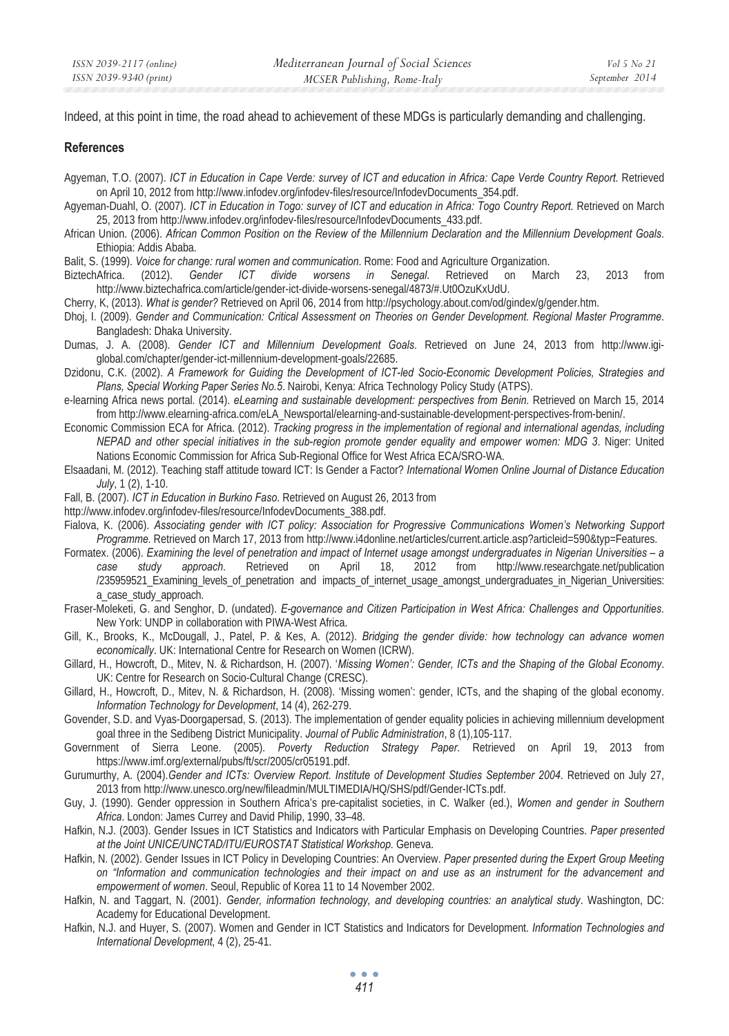Indeed, at this point in time, the road ahead to achievement of these MDGs is particularly demanding and challenging.

#### **References**

- Agyeman, T.O. (2007). *ICT in Education in Cape Verde: survey of ICT and education in Africa: Cape Verde Country Report.* Retrieved on April 10, 2012 from http://www.infodev.org/infodev-files/resource/InfodevDocuments\_354.pdf.
- Agyeman-Duahl, O. (2007). *ICT in Education in Togo: survey of ICT and education in Africa: Togo Country Report.* Retrieved on March 25, 2013 from http://www.infodev.org/infodev-files/resource/InfodevDocuments\_433.pdf.
- African Union. (2006). *African Common Position on the Review of the Millennium Declaration and the Millennium Development Goals*. Ethiopia: Addis Ababa.

Balit, S. (1999). *Voice for change: rural women and communication*. Rome: Food and Agriculture Organization.

BiztechAfrica. (2012). *Gender ICT divide worsens in Senegal*. Retrieved on March 23, 2013 from http://www.biztechafrica.com/article/gender-ict-divide-worsens-senegal/4873/#.Ut0OzuKxUdU.

Cherry, K, (2013). *What is gender?* Retrieved on April 06, 2014 from http://psychology.about.com/od/gindex/g/gender.htm.

- Dhoj, I. (2009). *Gender and Communication: Critical Assessment on Theories on Gender Development. Regional Master Programme*. Bangladesh: Dhaka University.
- Dumas, J. A. (2008). *Gender ICT and Millennium Development Goals*. Retrieved on June 24, 2013 from http://www.igiglobal.com/chapter/gender-ict-millennium-development-goals/22685.
- Dzidonu, C.K. (2002). *A Framework for Guiding the Development of ICT-led Socio-Economic Development Policies, Strategies and Plans, Special Working Paper Series No.5*. Nairobi, Kenya: Africa Technology Policy Study (ATPS).
- e-learning Africa news portal. (2014). *eLearning and sustainable development: perspectives from Benin.* Retrieved on March 15, 2014 from http://www.elearning-africa.com/eLA\_Newsportal/elearning-and-sustainable-development-perspectives-from-benin/.
- Economic Commission ECA for Africa. (2012). *Tracking progress in the implementation of regional and international agendas, including NEPAD and other special initiatives in the sub-region promote gender equality and empower women: MDG 3*. Niger: United Nations Economic Commission for Africa Sub-Regional Office for West Africa ECA/SRO-WA.
- Elsaadani, M. (2012). Teaching staff attitude toward ICT: Is Gender a Factor? *International Women Online Journal of Distance Education July*, 1 (2), 1-10.
- Fall, B. (2007). *ICT in Education in Burkino Faso*. Retrieved on August 26, 2013 from
- http://www.infodev.org/infodev-files/resource/InfodevDocuments\_388.pdf.
- Fialova, K. (2006). *Associating gender with ICT policy: Association for Progressive Communications Women's Networking Support Programme.* Retrieved on March 17, 2013 from http://www.i4donline.net/articles/current.article.asp?articleid=590&typ=Features.
- Formatex. (2006). *Examining the level of penetration and impact of Internet usage amongst undergraduates in Nigerian Universities a case study approach*. Retrieved on April 18, 2012 from http://www.researchgate.net/publication /235959521 Examining levels of penetration and impacts of internet usage amongst undergraduates in Nigerian Universities: a\_case\_study\_approach.
- Fraser-Moleketi, G. and Senghor, D. (undated). *E-governance and Citizen Participation in West Africa: Challenges and Opportunities*. New York: UNDP in collaboration with PIWA-West Africa.
- Gill, K., Brooks, K., McDougall, J., Patel, P. & Kes, A. (2012). *Bridging the gender divide: how technology can advance women economically*. UK: International Centre for Research on Women (ICRW).
- Gillard, H., Howcroft, D., Mitev, N. & Richardson, H. (2007). '*Missing Women': Gender, ICTs and the Shaping of the Global Economy*. UK: Centre for Research on Socio-Cultural Change (CRESC).
- Gillard, H., Howcroft, D., Mitev, N. & Richardson, H. (2008). 'Missing women': gender, ICTs, and the shaping of the global economy. *Information Technology for Development*, 14 (4), 262-279.
- Govender, S.D. and Vyas-Doorgapersad, S. (2013). The implementation of gender equality policies in achieving millennium development goal three in the Sedibeng District Municipality. *Journal of Public Administration*, 8 (1),105-117.
- Government of Sierra Leone. (2005). *Poverty Reduction Strategy Paper*. Retrieved on April 19, 2013 from https://www.imf.org/external/pubs/ft/scr/2005/cr05191.pdf.
- Gurumurthy, A. (2004).*Gender and ICTs: Overview Report. Institute of Development Studies September 2004*. Retrieved on July 27, 2013 from http://www.unesco.org/new/fileadmin/MULTIMEDIA/HQ/SHS/pdf/Gender-ICTs.pdf.
- Guy, J. (1990). Gender oppression in Southern Africa's pre-capitalist societies, in C. Walker (ed.), *Women and gender in Southern Africa*. London: James Currey and David Philip, 1990, 33–48.
- Hafkin, N.J. (2003). Gender Issues in ICT Statistics and Indicators with Particular Emphasis on Developing Countries. *Paper presented at the Joint UNICE/UNCTAD/ITU/EUROSTAT Statistical Workshop.* Geneva.
- Hafkin, N. (2002). Gender Issues in ICT Policy in Developing Countries: An Overview. *Paper presented during the Expert Group Meeting on "Information and communication technologies and their impact on and use as an instrument for the advancement and empowerment of women*. Seoul, Republic of Korea 11 to 14 November 2002.
- Hafkin, N. and Taggart, N. (2001). *Gender, information technology, and developing countries: an analytical study*. Washington, DC: Academy for Educational Development.
- Hafkin, N.J. and Huyer, S. (2007). Women and Gender in ICT Statistics and Indicators for Development. *Information Technologies and International Development*, 4 (2), 25-41.